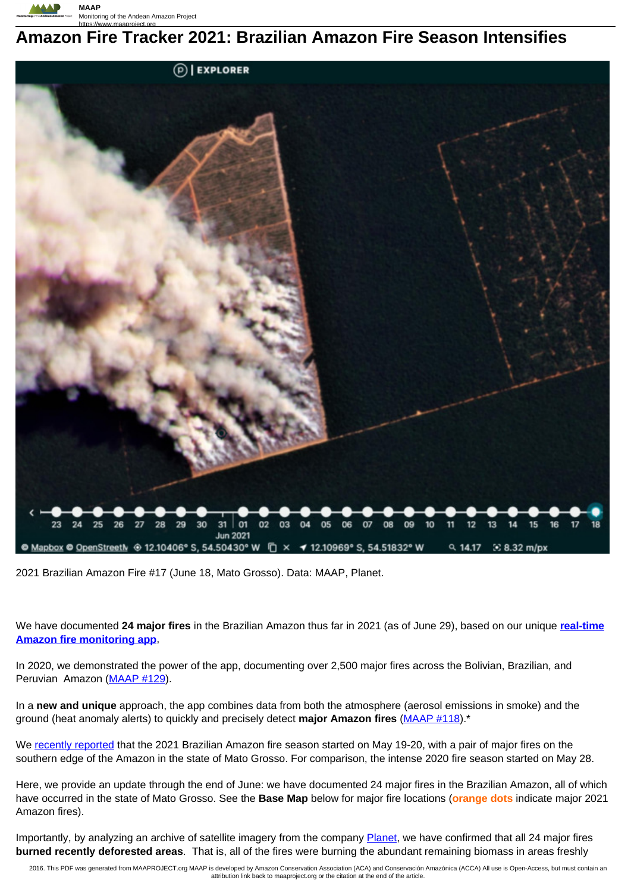

# https://www.maaproject.org **Amazon Fire Tracker 2021: Brazilian Amazon Fire Season Intensifies**



2021 Brazilian Amazon Fire #17 (June 18, Mato Grosso). Data: MAAP, Planet.

We have documented **24 major fires** in the Brazilian Amazon thus far in 2021 (as of June 29), based on our unique **real-time Amazon fire monitoring app**,

In 2020, we demonstrated the power of the app, documenting over 2,500 major fires across the Bolivian, Brazilian, and Peruvian Amazon (MAAP #129).

In a **new and unique** approach, the app combines data from both the atmosphere (aerosol emissions in smoke) and the ground (heat anomaly alerts) to quickly and precisely detect **major Amazon fires** (MAAP #118).\*

We recently reported that the 2021 Brazilian Amazon fire season started on May 19-20, with a pair of major fires on the southern edge of the Amazon in the state of Mato Grosso. For comparison, the intense 2020 fire season started on May 28.

Here, we provide an update through the end of June: we have documented 24 major fires in the Brazilian Amazon, all of which have occurred in the state of Mato Grosso. See the **Base Map** below for major fire locations (**orange dots** indicate major 2021 Amazon fires).

Importantly, by analyzing an archive of satellite imagery from the company **Planet**, we have confirmed that all 24 major fires **burned recently deforested areas**. That is, all of the fires were burning the abundant remaining biomass in areas freshly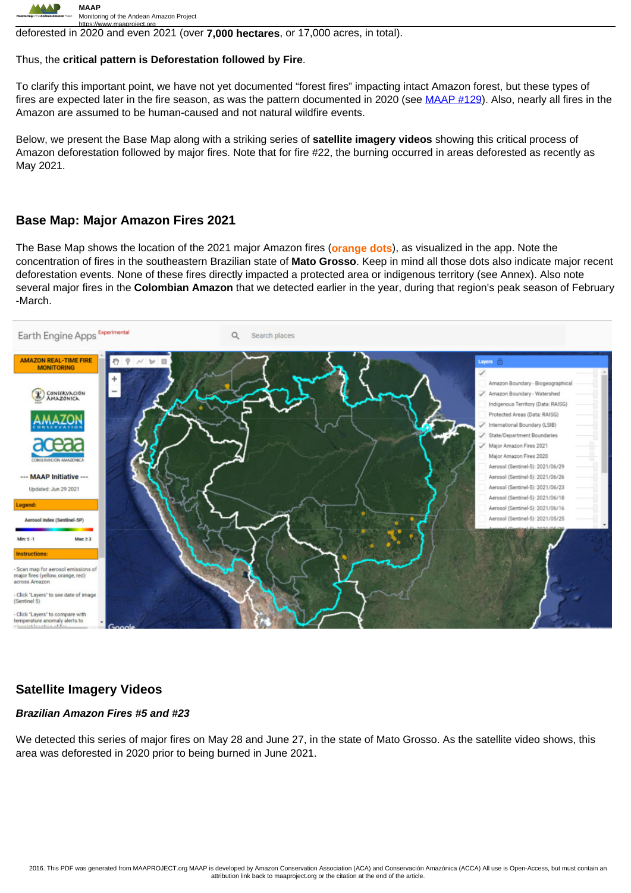

https://www.maaproject.org<br>deforested in 2020 and even 2021 (over **7,000 hectares**, or 17,000 acres, in total).

#### Thus, the **critical pattern is Deforestation followed by Fire**.

To clarify this important point, we have not yet documented "forest fires" impacting intact Amazon forest, but these types of fires are expected later in the fire season, as was the pattern documented in 2020 (see MAAP #129). Also, nearly all fires in the Amazon are assumed to be human-caused and not natural wildfire events.

Below, we present the Base Map along with a striking series of **satellite imagery videos** showing this critical process of Amazon deforestation followed by major fires. Note that for fire #22, the burning occurred in areas deforested as recently as May 2021.

## **Base Map: Major Amazon Fires 2021**

The Base Map shows the location of the 2021 major Amazon fires (**orange dots**), as visualized in the app. Note the concentration of fires in the southeastern Brazilian state of **Mato Grosso**. Keep in mind all those dots also indicate major recent deforestation events. None of these fires directly impacted a protected area or indigenous territory (see Annex). Also note several major fires in the **Colombian Amazon** that we detected earlier in the year, during that region's peak season of February -March.



### **Satellite Imagery Videos**

#### **Brazilian Amazon Fires #5 and #23**

We detected this series of major fires on May 28 and June 27, in the state of Mato Grosso. As the satellite video shows, this area was deforested in 2020 prior to being burned in June 2021.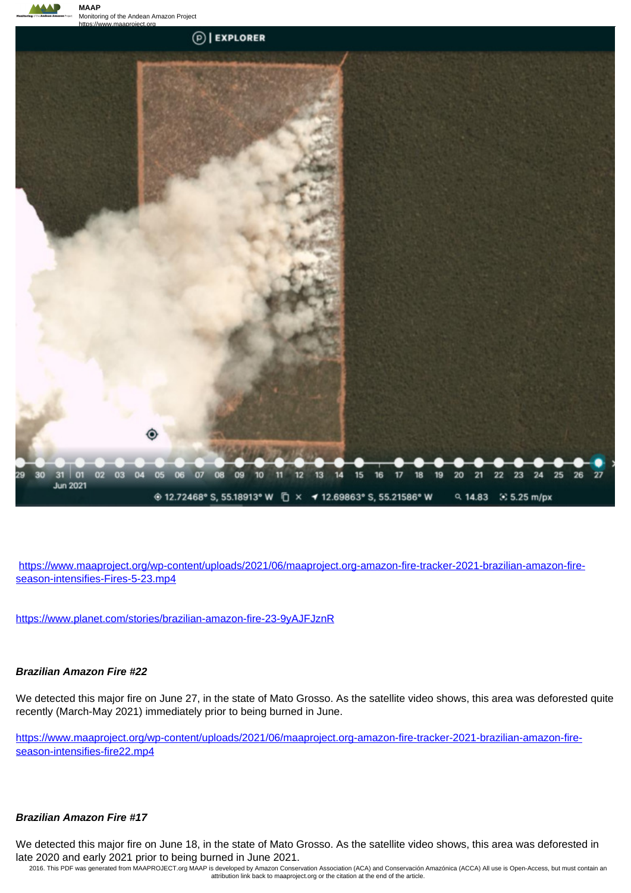

https://www.maaproject.org/wp-content/uploads/2021/06/maaproject.org-amazon-fire-tracker-2021-brazilian-amazon-fireseason-intensifies-Fires-5-23.mp4

https://www.planet.com/stories/brazilian-amazon-fire-23-9yAJFJznR

#### **Brazilian Amazon Fire #22**

We detected this major fire on June 27, in the state of Mato Grosso. As the satellite video shows, this area was deforested quite recently (March-May 2021) immediately prior to being burned in June.

https://www.maaproject.org/wp-content/uploads/2021/06/maaproject.org-amazon-fire-tracker-2021-brazilian-amazon-fireseason-intensifies-fire22.mp4

#### **Brazilian Amazon Fire #17**

We detected this major fire on June 18, in the state of Mato Grosso. As the satellite video shows, this area was deforested in late 2020 and early 2021 prior to being burned in June 2021.

2016. This PDF was generated from MAAPROJECT.org MAAP is developed by Amazon Conservation Association (ACA) and Conservación Amazónica (ACCA) All use is Open-Access, but must contain an attribution link back to maaproject.org or the citation at the end of the article.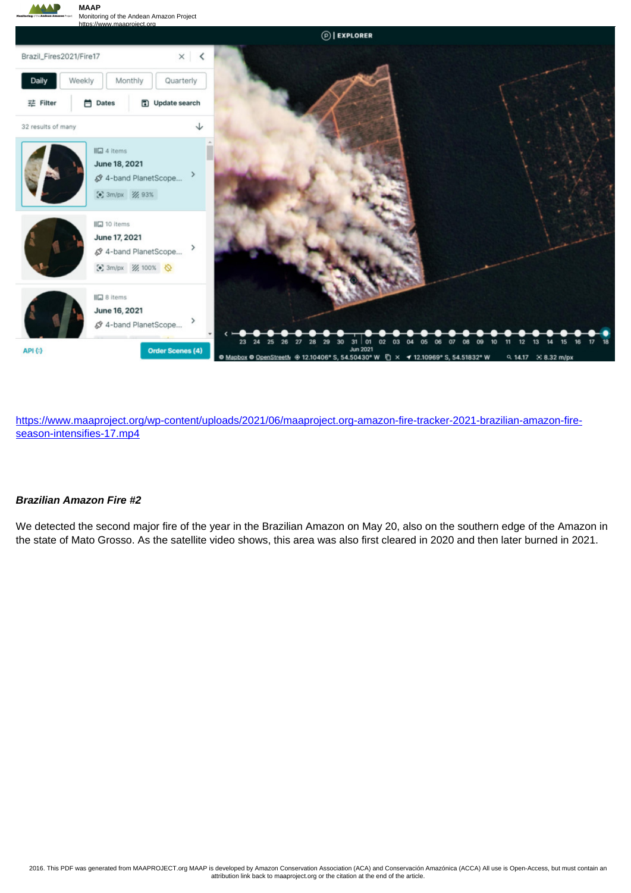

https://www.maaproject.org/wp-content/uploads/2021/06/maaproject.org-amazon-fire-tracker-2021-brazilian-amazon-fireseason-intensifies-17.mp4

#### **Brazilian Amazon Fire #2**

We detected the second major fire of the year in the Brazilian Amazon on May 20, also on the southern edge of the Amazon in the state of Mato Grosso. As the satellite video shows, this area was also first cleared in 2020 and then later burned in 2021.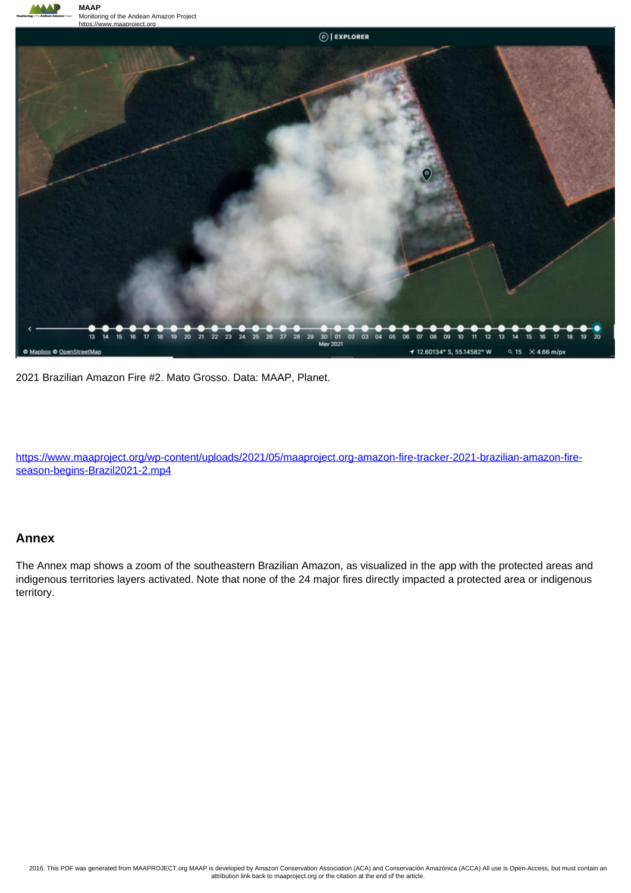



2021 Brazilian Amazon Fire #2. Mato Grosso. Data: MAAP, Planet.

https://www.maaproject.org/wp-content/uploads/2021/05/maaproject.org-amazon-fire-tracker-2021-brazilian-amazon-fireseason-begins-Brazil2021-2.mp4

#### **Annex**

The Annex map shows a zoom of the southeastern Brazilian Amazon, as visualized in the app with the protected areas and indigenous territories layers activated. Note that none of the 24 major fires directly impacted a protected area or indigenous territory.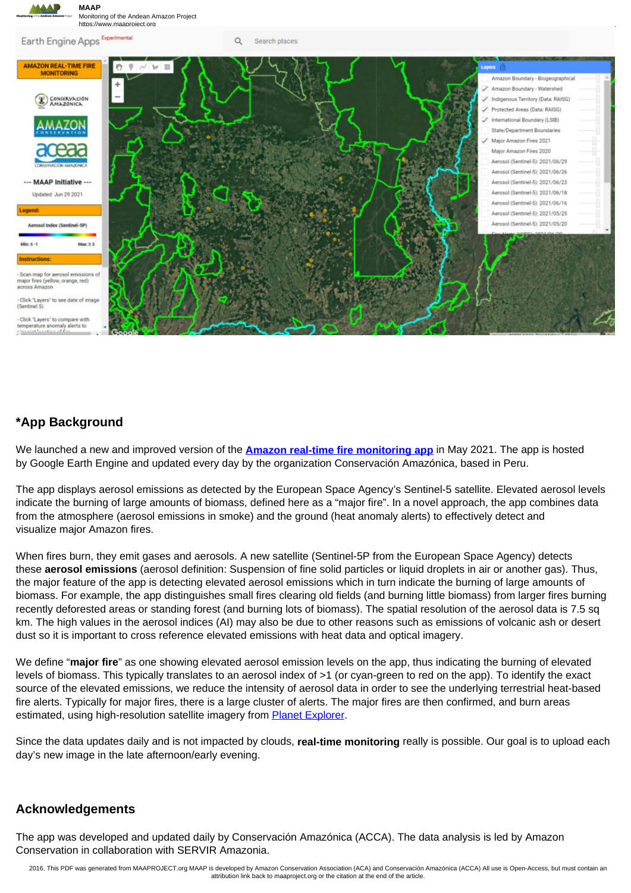

# **\*App Background**

We launched a new and improved version of the **Amazon real-time fire monitoring app** in May 2021. The app is hosted by Google Earth Engine and updated every day by the organization Conservación Amazónica, based in Peru.

The app displays aerosol emissions as detected by the European Space Agency's Sentinel-5 satellite. Elevated aerosol levels indicate the burning of large amounts of biomass, defined here as a "major fire". In a novel approach, the app combines data from the atmosphere (aerosol emissions in smoke) and the ground (heat anomaly alerts) to effectively detect and visualize major Amazon fires.

When fires burn, they emit gases and aerosols. A new satellite (Sentinel-5P from the European Space Agency) detects these **aerosol emissions** (aerosol definition: Suspension of fine solid particles or liquid droplets in air or another gas). Thus, the major feature of the app is detecting elevated aerosol emissions which in turn indicate the burning of large amounts of biomass. For example, the app distinguishes small fires clearing old fields (and burning little biomass) from larger fires burning recently deforested areas or standing forest (and burning lots of biomass). The spatial resolution of the aerosol data is 7.5 sq km. The high values in the aerosol indices (AI) may also be due to other reasons such as emissions of volcanic ash or desert dust so it is important to cross reference elevated emissions with heat data and optical imagery.

We define "**major fire**" as one showing elevated aerosol emission levels on the app, thus indicating the burning of elevated levels of biomass. This typically translates to an aerosol index of >1 (or cyan-green to red on the app). To identify the exact source of the elevated emissions, we reduce the intensity of aerosol data in order to see the underlying terrestrial heat-based fire alerts. Typically for major fires, there is a large cluster of alerts. The major fires are then confirmed, and burn areas estimated, using high-resolution satellite imagery from **Planet Explorer**.

Since the data updates daily and is not impacted by clouds, **real-time monitoring** really is possible. Our goal is to upload each day's new image in the late afternoon/early evening.

# **Acknowledgements**

The app was developed and updated daily by Conservación Amazónica (ACCA). The data analysis is led by Amazon Conservation in collaboration with SERVIR Amazonia.